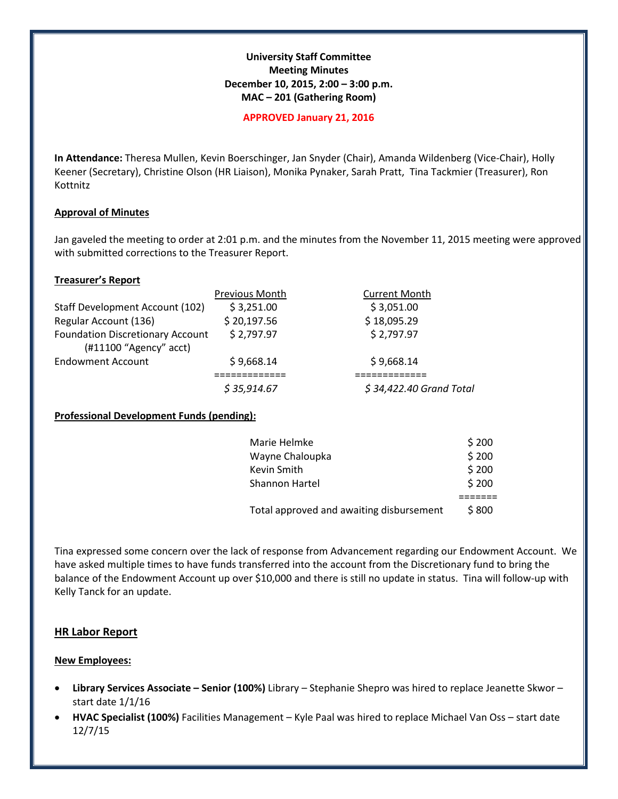## **University Staff Committee Meeting Minutes December 10, 2015, 2:00 – 3:00 p.m. MAC – 201 (Gathering Room)**

#### **APPROVED January 21, 2016**

**In Attendance:** Theresa Mullen, Kevin Boerschinger, Jan Snyder (Chair), Amanda Wildenberg (Vice-Chair), Holly Keener (Secretary), Christine Olson (HR Liaison), Monika Pynaker, Sarah Pratt, Tina Tackmier (Treasurer), Ron Kottnitz

### **Approval of Minutes**

Jan gaveled the meeting to order at 2:01 p.m. and the minutes from the November 11, 2015 meeting were approved with submitted corrections to the Treasurer Report.

## **Treasurer's Report**

|                                         | Previous Month | <b>Current Month</b>    |
|-----------------------------------------|----------------|-------------------------|
| <b>Staff Development Account (102)</b>  | \$3,251.00     | \$3,051.00              |
| Regular Account (136)                   | \$20,197.56    | \$18,095.29             |
| <b>Foundation Discretionary Account</b> | \$2,797.97     | \$2,797.97              |
| (#11100 "Agency" acct)                  |                |                         |
| <b>Endowment Account</b>                | \$9,668.14     | \$9,668.14              |
|                                         |                |                         |
|                                         | \$35,914.67    | \$34,422.40 Grand Total |

# **Professional Development Funds (pending):**

| Marie Helmke                             | \$200 |
|------------------------------------------|-------|
| Wayne Chaloupka                          | \$200 |
| Kevin Smith                              | \$200 |
| <b>Shannon Hartel</b>                    | \$200 |
|                                          |       |
| Total approved and awaiting disbursement | \$800 |

Tina expressed some concern over the lack of response from Advancement regarding our Endowment Account. We have asked multiple times to have funds transferred into the account from the Discretionary fund to bring the balance of the Endowment Account up over \$10,000 and there is still no update in status. Tina will follow-up with Kelly Tanck for an update.

# **HR Labor Report**

### **New Employees:**

- **Library Services Associate – Senior (100%)** Library Stephanie Shepro was hired to replace Jeanette Skwor start date 1/1/16
- **HVAC Specialist (100%)** Facilities Management Kyle Paal was hired to replace Michael Van Oss start date 12/7/15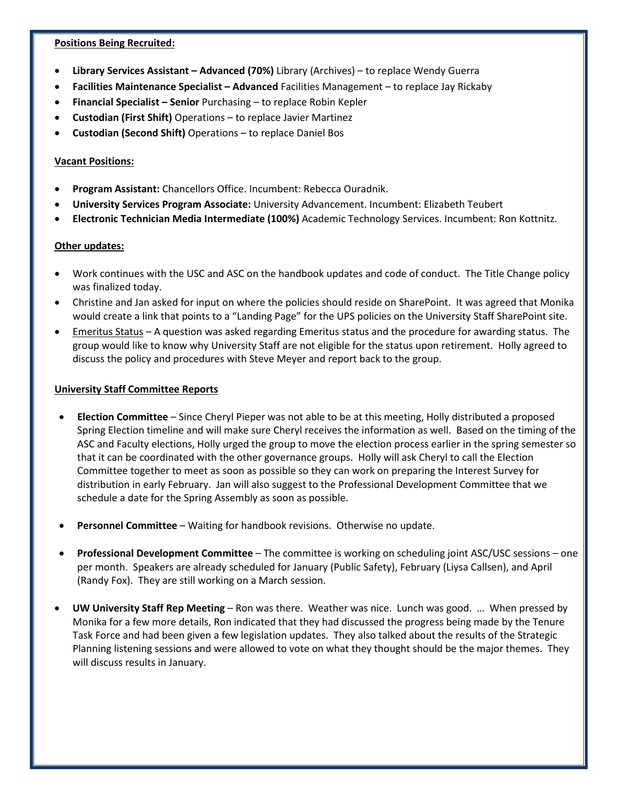### **Positions Being Recruited:**

- **Library Services Assistant – Advanced (70%)** Library (Archives) to replace Wendy Guerra
- **Facilities Maintenance Specialist – Advanced** Facilities Management to replace Jay Rickaby
- **Financial Specialist – Senior** Purchasing to replace Robin Kepler
- **Custodian (First Shift)** Operations to replace Javier Martinez
- **Custodian (Second Shift)** Operations to replace Daniel Bos

## **Vacant Positions:**

- **Program Assistant:** Chancellors Office. Incumbent: Rebecca Ouradnik.
- **University Services Program Associate:** University Advancement. Incumbent: Elizabeth Teubert
- **Electronic Technician Media Intermediate (100%)** Academic Technology Services. Incumbent: Ron Kottnitz.

### **Other updates:**

- Work continues with the USC and ASC on the handbook updates and code of conduct. The Title Change policy was finalized today.
- Christine and Jan asked for input on where the policies should reside on SharePoint. It was agreed that Monika would create a link that points to a "Landing Page" for the UPS policies on the University Staff SharePoint site.
- Emeritus Status A question was asked regarding Emeritus status and the procedure for awarding status. The group would like to know why University Staff are not eligible for the status upon retirement. Holly agreed to discuss the policy and procedures with Steve Meyer and report back to the group.

## **University Staff Committee Reports**

- **Election Committee**  Since Cheryl Pieper was not able to be at this meeting, Holly distributed a proposed Spring Election timeline and will make sure Cheryl receives the information as well. Based on the timing of the ASC and Faculty elections, Holly urged the group to move the election process earlier in the spring semester so that it can be coordinated with the other governance groups. Holly will ask Cheryl to call the Election Committee together to meet as soon as possible so they can work on preparing the Interest Survey for distribution in early February. Jan will also suggest to the Professional Development Committee that we schedule a date for the Spring Assembly as soon as possible.
- **Personnel Committee** Waiting for handbook revisions. Otherwise no update.
- **Professional Development Committee** The committee is working on scheduling joint ASC/USC sessions one per month. Speakers are already scheduled for January (Public Safety), February (Liysa Callsen), and April (Randy Fox). They are still working on a March session.
- **UW University Staff Rep Meeting** Ron was there. Weather was nice. Lunch was good. … When pressed by Monika for a few more details, Ron indicated that they had discussed the progress being made by the Tenure Task Force and had been given a few legislation updates. They also talked about the results of the Strategic Planning listening sessions and were allowed to vote on what they thought should be the major themes. They will discuss results in January.